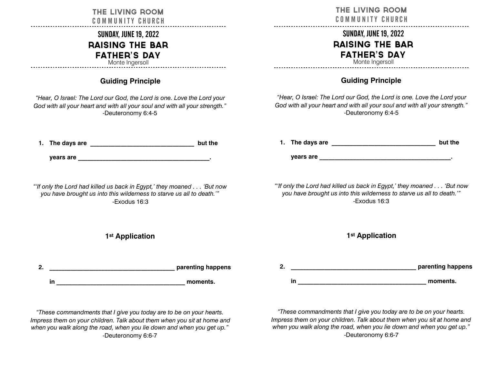| THE LIVING ROOM                        |  |  |  |
|----------------------------------------|--|--|--|
| <b>COMMUNITY CHURCH</b>                |  |  |  |
| <b>SUNDAY, JUNE 19, 2022</b>           |  |  |  |
| <b>RAISING THE BAR</b>                 |  |  |  |
| <b>FATHER'S DAY</b><br>Monte Ingersoll |  |  |  |
|                                        |  |  |  |

# **Guiding Principle**

*"Hear, O Israel: The Lord our God, the Lord is one. Love the Lord your God with all your heart and with all your soul and with all your strength."* -Deuteronomy 6:4-5

| 1. The days are | but the |
|-----------------|---------|
|                 |         |
| vears are       |         |

*"'If only the Lord had killed us back in Egypt,' they moaned . . . 'But now you have brought us into this wilderness to starve us all to death.'"*  -Exodus 16:3

## **1st Application**

| ◠<br>۷. |  | parenting happens |
|---------|--|-------------------|
|         |  | moments.          |

*"These commandments that I give you today are to be on your hearts. Impress them on your children. Talk about them when you sit at home and when you walk along the road, when you lie down and when you get up."* -Deuteronomy 6:6-7